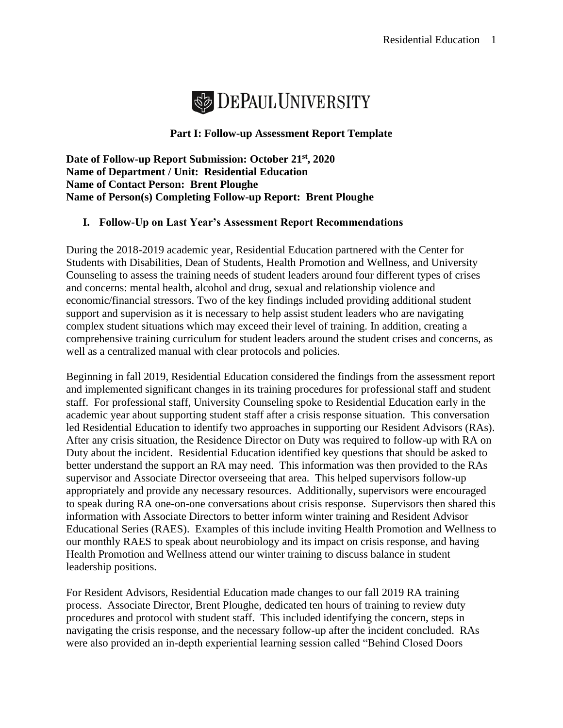

## **Part I: Follow-up Assessment Report Template**

**Date of Follow-up Report Submission: October 21st, 2020 Name of Department / Unit: Residential Education Name of Contact Person: Brent Ploughe Name of Person(s) Completing Follow-up Report: Brent Ploughe** 

## **I. Follow-Up on Last Year's Assessment Report Recommendations**

During the 2018-2019 academic year, Residential Education partnered with the Center for Students with Disabilities, Dean of Students, Health Promotion and Wellness, and University Counseling to assess the training needs of student leaders around four different types of crises and concerns: mental health, alcohol and drug, sexual and relationship violence and economic/financial stressors. Two of the key findings included providing additional student support and supervision as it is necessary to help assist student leaders who are navigating complex student situations which may exceed their level of training. In addition, creating a comprehensive training curriculum for student leaders around the student crises and concerns, as well as a centralized manual with clear protocols and policies.

Beginning in fall 2019, Residential Education considered the findings from the assessment report and implemented significant changes in its training procedures for professional staff and student staff. For professional staff, University Counseling spoke to Residential Education early in the academic year about supporting student staff after a crisis response situation. This conversation led Residential Education to identify two approaches in supporting our Resident Advisors (RAs). After any crisis situation, the Residence Director on Duty was required to follow-up with RA on Duty about the incident. Residential Education identified key questions that should be asked to better understand the support an RA may need. This information was then provided to the RAs supervisor and Associate Director overseeing that area. This helped supervisors follow-up appropriately and provide any necessary resources. Additionally, supervisors were encouraged to speak during RA one-on-one conversations about crisis response. Supervisors then shared this information with Associate Directors to better inform winter training and Resident Advisor Educational Series (RAES). Examples of this include inviting Health Promotion and Wellness to our monthly RAES to speak about neurobiology and its impact on crisis response, and having Health Promotion and Wellness attend our winter training to discuss balance in student leadership positions.

For Resident Advisors, Residential Education made changes to our fall 2019 RA training process. Associate Director, Brent Ploughe, dedicated ten hours of training to review duty procedures and protocol with student staff. This included identifying the concern, steps in navigating the crisis response, and the necessary follow-up after the incident concluded. RAs were also provided an in-depth experiential learning session called "Behind Closed Doors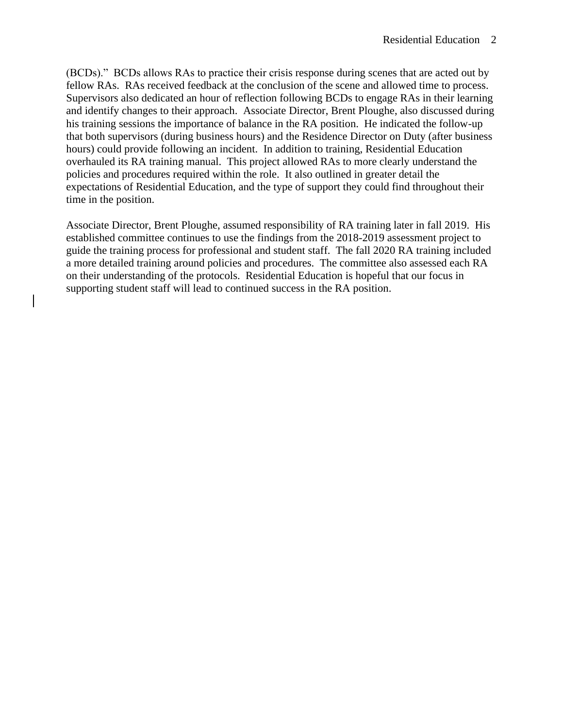(BCDs)." BCDs allows RAs to practice their crisis response during scenes that are acted out by fellow RAs. RAs received feedback at the conclusion of the scene and allowed time to process. Supervisors also dedicated an hour of reflection following BCDs to engage RAs in their learning and identify changes to their approach. Associate Director, Brent Ploughe, also discussed during his training sessions the importance of balance in the RA position. He indicated the follow-up that both supervisors (during business hours) and the Residence Director on Duty (after business hours) could provide following an incident. In addition to training, Residential Education overhauled its RA training manual. This project allowed RAs to more clearly understand the policies and procedures required within the role. It also outlined in greater detail the expectations of Residential Education, and the type of support they could find throughout their time in the position.

Associate Director, Brent Ploughe, assumed responsibility of RA training later in fall 2019. His established committee continues to use the findings from the 2018-2019 assessment project to guide the training process for professional and student staff. The fall 2020 RA training included a more detailed training around policies and procedures. The committee also assessed each RA on their understanding of the protocols. Residential Education is hopeful that our focus in supporting student staff will lead to continued success in the RA position.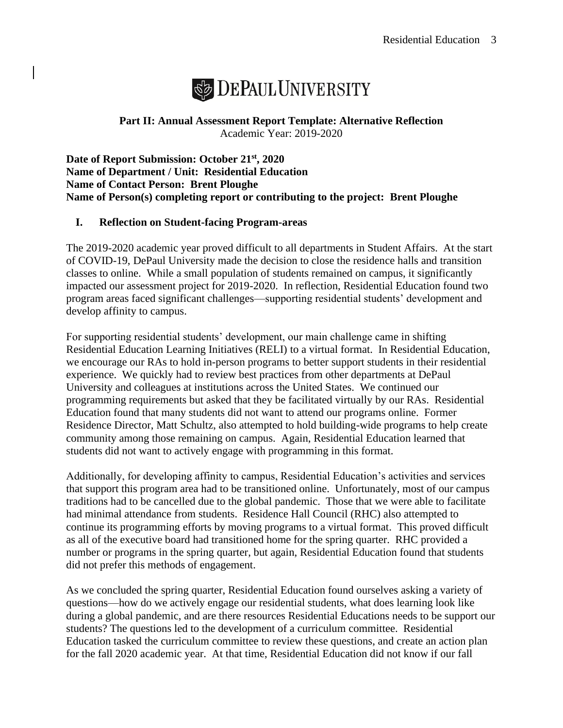

**Part II: Annual Assessment Report Template: Alternative Reflection** Academic Year: 2019-2020

**Date of Report Submission: October 21st, 2020 Name of Department / Unit: Residential Education Name of Contact Person: Brent Ploughe Name of Person(s) completing report or contributing to the project: Brent Ploughe** 

## **I. Reflection on Student-facing Program-areas**

The 2019-2020 academic year proved difficult to all departments in Student Affairs. At the start of COVID-19, DePaul University made the decision to close the residence halls and transition classes to online. While a small population of students remained on campus, it significantly impacted our assessment project for 2019-2020. In reflection, Residential Education found two program areas faced significant challenges—supporting residential students' development and develop affinity to campus.

For supporting residential students' development, our main challenge came in shifting Residential Education Learning Initiatives (RELI) to a virtual format. In Residential Education, we encourage our RAs to hold in-person programs to better support students in their residential experience. We quickly had to review best practices from other departments at DePaul University and colleagues at institutions across the United States. We continued our programming requirements but asked that they be facilitated virtually by our RAs. Residential Education found that many students did not want to attend our programs online. Former Residence Director, Matt Schultz, also attempted to hold building-wide programs to help create community among those remaining on campus. Again, Residential Education learned that students did not want to actively engage with programming in this format.

Additionally, for developing affinity to campus, Residential Education's activities and services that support this program area had to be transitioned online. Unfortunately, most of our campus traditions had to be cancelled due to the global pandemic. Those that we were able to facilitate had minimal attendance from students. Residence Hall Council (RHC) also attempted to continue its programming efforts by moving programs to a virtual format. This proved difficult as all of the executive board had transitioned home for the spring quarter. RHC provided a number or programs in the spring quarter, but again, Residential Education found that students did not prefer this methods of engagement.

As we concluded the spring quarter, Residential Education found ourselves asking a variety of questions—how do we actively engage our residential students, what does learning look like during a global pandemic, and are there resources Residential Educations needs to be support our students? The questions led to the development of a curriculum committee. Residential Education tasked the curriculum committee to review these questions, and create an action plan for the fall 2020 academic year. At that time, Residential Education did not know if our fall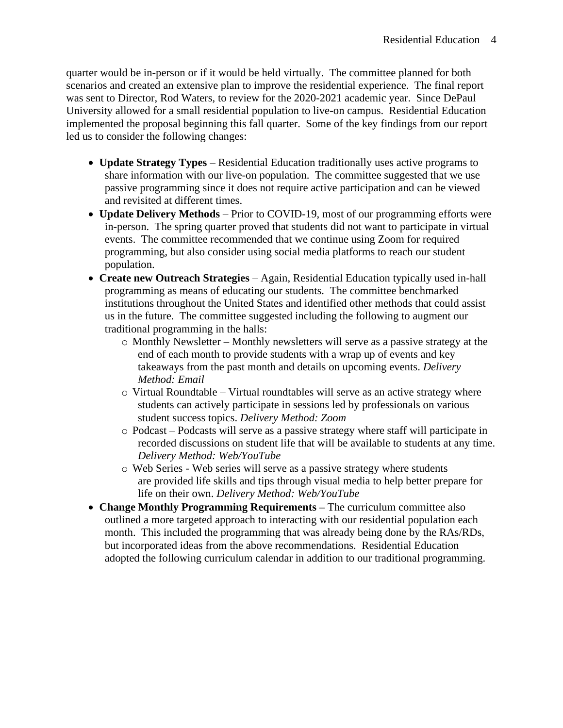quarter would be in-person or if it would be held virtually. The committee planned for both scenarios and created an extensive plan to improve the residential experience. The final report was sent to Director, Rod Waters, to review for the 2020-2021 academic year. Since DePaul University allowed for a small residential population to live-on campus. Residential Education implemented the proposal beginning this fall quarter. Some of the key findings from our report led us to consider the following changes:

- **Update Strategy Types** Residential Education traditionally uses active programs to share information with our live-on population. The committee suggested that we use passive programming since it does not require active participation and can be viewed and revisited at different times.
- **Update Delivery Methods**  Prior to COVID-19, most of our programming efforts were in-person. The spring quarter proved that students did not want to participate in virtual events. The committee recommended that we continue using Zoom for required programming, but also consider using social media platforms to reach our student population.
- **Create new Outreach Strategies** Again, Residential Education typically used in-hall programming as means of educating our students. The committee benchmarked institutions throughout the United States and identified other methods that could assist us in the future. The committee suggested including the following to augment our traditional programming in the halls:
	- o Monthly Newsletter Monthly newsletters will serve as a passive strategy at the end of each month to provide students with a wrap up of events and key takeaways from the past month and details on upcoming events. *Delivery Method: Email*
	- o Virtual Roundtable Virtual roundtables will serve as an active strategy where students can actively participate in sessions led by professionals on various student success topics. *Delivery Method: Zoom*
	- o Podcast Podcasts will serve as a passive strategy where staff will participate in recorded discussions on student life that will be available to students at any time. *Delivery Method: Web/YouTube*
	- o Web Series Web series will serve as a passive strategy where students are provided life skills and tips through visual media to help better prepare for life on their own. *Delivery Method: Web/YouTube*
- **Change Monthly Programming Requirements –** The curriculum committee also outlined a more targeted approach to interacting with our residential population each month. This included the programming that was already being done by the RAs/RDs, but incorporated ideas from the above recommendations. Residential Education adopted the following curriculum calendar in addition to our traditional programming.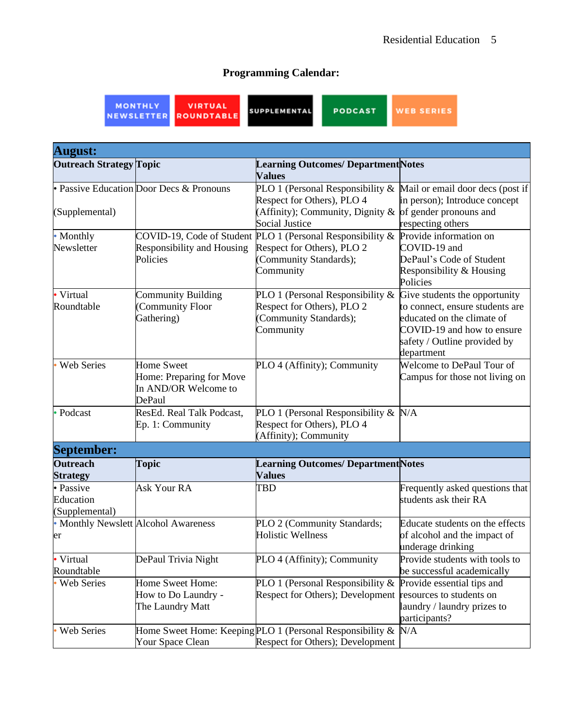## **Programming Calendar:**

MONTHLY<br>NEWSLETTER

VIRTUAL<br>ROUNDTABLE

**SUPPLEMENTAL** 

**WEB SERIES** 

PODCAST

| <b>August:</b>                           |                                                                                 |                                                                                                    |                                                                                                                                           |
|------------------------------------------|---------------------------------------------------------------------------------|----------------------------------------------------------------------------------------------------|-------------------------------------------------------------------------------------------------------------------------------------------|
| <b>Outreach Strategy Topic</b>           |                                                                                 | <b>Learning Outcomes/ Department Notes</b><br><b>Values</b>                                        |                                                                                                                                           |
|                                          | • Passive Education Door Decs & Pronouns                                        | PLO 1 (Personal Responsibility $\&$ Mail or email door decs (post if<br>Respect for Others), PLO 4 | in person); Introduce concept                                                                                                             |
| (Supplemental)                           |                                                                                 | (Affinity); Community, Dignity &<br><b>Social Justice</b>                                          | of gender pronouns and<br>respecting others                                                                                               |
| <b>Monthly</b>                           |                                                                                 | COVID-19, Code of Student PLO 1 (Personal Responsibility $\&$                                      | Provide information on                                                                                                                    |
| Newsletter                               | Responsibility and Housing<br>Policies                                          | Respect for Others), PLO 2<br>(Community Standards);<br>Community                                  | COVID-19 and<br>DePaul's Code of Student<br>Responsibility & Housing<br>Policies                                                          |
| • Virtual                                | <b>Community Building</b>                                                       | PLO 1 (Personal Responsibility &                                                                   | Give students the opportunity                                                                                                             |
| Roundtable                               | <b>Community Floor</b><br>Gathering)                                            | Respect for Others), PLO 2<br>(Community Standards);<br>Community                                  | to connect, ensure students are<br>educated on the climate of<br>COVID-19 and how to ensure<br>safety / Outline provided by<br>department |
| Web Series                               | <b>Home Sweet</b><br>Home: Preparing for Move<br>In AND/OR Welcome to<br>DePaul | PLO 4 (Affinity); Community                                                                        | Welcome to DePaul Tour of<br>Campus for those not living on                                                                               |
| Podcast                                  | ResEd. Real Talk Podcast,                                                       | PLO 1 (Personal Responsibility $& N/A$                                                             |                                                                                                                                           |
|                                          | Ep. 1: Community                                                                | Respect for Others), PLO 4<br>(Affinity); Community                                                |                                                                                                                                           |
| <b>September:</b>                        |                                                                                 |                                                                                                    |                                                                                                                                           |
| <b>Outreach</b>                          | <b>Topic</b>                                                                    | <b>Learning Outcomes/ Department Notes</b>                                                         |                                                                                                                                           |
| <b>Strategy</b>                          |                                                                                 | <b>Values</b>                                                                                      |                                                                                                                                           |
| · Passive<br>Education<br>(Supplemental) | Ask Your RA                                                                     | <b>TBD</b>                                                                                         | Frequently asked questions that<br>students ask their RA                                                                                  |
| er                                       | • Monthly Newslett Alcohol Awareness                                            | PLO 2 (Community Standards;<br><b>Holistic Wellness</b>                                            | Educate students on the effects<br>of alcohol and the impact of<br>underage drinking                                                      |
| Virtual                                  | DePaul Trivia Night                                                             | PLO 4 (Affinity); Community                                                                        | Provide students with tools to                                                                                                            |
| Roundtable                               |                                                                                 |                                                                                                    | be successful academically                                                                                                                |
| <b>Web Series</b>                        | Home Sweet Home:                                                                | PLO 1 (Personal Responsibility &                                                                   | Provide essential tips and                                                                                                                |
|                                          | How to Do Laundry -<br>The Laundry Matt                                         | Respect for Others); Development                                                                   | resources to students on<br>laundry / laundry prizes to<br>participants?                                                                  |
| Web Series                               |                                                                                 | Home Sweet Home: Keeping PLO 1 (Personal Responsibility $\&$                                       | N/A                                                                                                                                       |
|                                          | Your Space Clean                                                                | Respect for Others); Development                                                                   |                                                                                                                                           |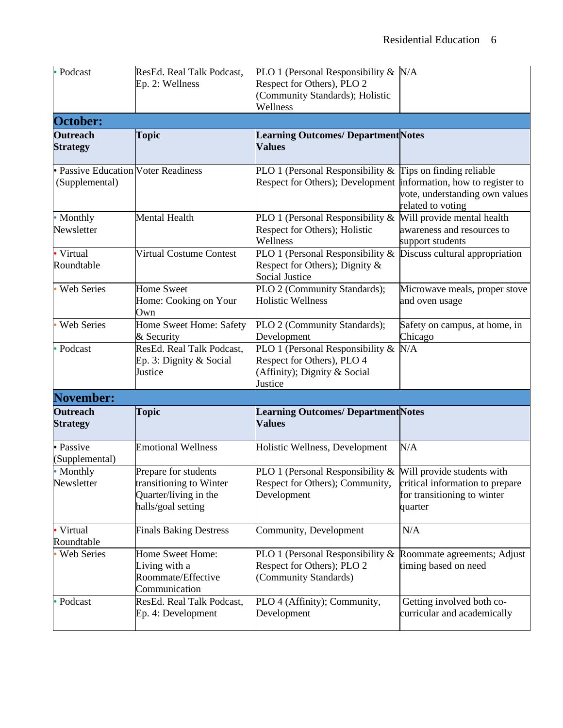| • Podcast                                             | ResEd. Real Talk Podcast,<br>Ep. 2: Wellness                                                   | PLO 1 (Personal Responsibility $& N/A$<br>Respect for Others), PLO 2<br>(Community Standards); Holistic<br>Wellness |                                                                                        |  |
|-------------------------------------------------------|------------------------------------------------------------------------------------------------|---------------------------------------------------------------------------------------------------------------------|----------------------------------------------------------------------------------------|--|
| October:                                              |                                                                                                |                                                                                                                     |                                                                                        |  |
| <b>Outreach</b><br><b>Strategy</b>                    | <b>Topic</b>                                                                                   | <b>Learning Outcomes/ Department Notes</b><br><b>Values</b>                                                         |                                                                                        |  |
| • Passive Education Voter Readiness<br>(Supplemental) |                                                                                                | PLO 1 (Personal Responsibility $\&$ Tips on finding reliable<br>Respect for Others); Development                    | information, how to register to<br>vote, understanding own values<br>related to voting |  |
| • Monthly<br>Newsletter                               | Mental Health                                                                                  | PLO 1 (Personal Responsibility &<br>Respect for Others); Holistic<br>Wellness                                       | Will provide mental health<br>awareness and resources to<br>support students           |  |
| • Virtual<br>Roundtable                               | <b>Virtual Costume Contest</b>                                                                 | PLO 1 (Personal Responsibility &<br>Respect for Others); Dignity &<br>Social Justice                                | Discuss cultural appropriation                                                         |  |
| · Web Series                                          | <b>Home Sweet</b><br>Home: Cooking on Your<br>Own                                              | PLO 2 (Community Standards);<br><b>Holistic Wellness</b>                                                            | Microwave meals, proper stove<br>and oven usage                                        |  |
| <b>Web Series</b>                                     | Home Sweet Home: Safety<br>& Security                                                          | PLO 2 (Community Standards);<br>Development                                                                         | Safety on campus, at home, in<br>Chicago                                               |  |
| • Podcast                                             | ResEd. Real Talk Podcast,<br>Ep. 3: Dignity & Social<br>Justice                                | PLO 1 (Personal Responsibility &<br>Respect for Others), PLO 4<br>(Affinity); Dignity & Social<br>Justice           | N/A                                                                                    |  |
| <b>November:</b>                                      |                                                                                                |                                                                                                                     |                                                                                        |  |
| <b>Outreach</b><br><b>Strategy</b>                    | Topic                                                                                          | <b>Learning Outcomes/ Department Notes</b><br><b>Values</b>                                                         |                                                                                        |  |
| · Passive<br>(Supplemental)                           | <b>Emotional Wellness</b>                                                                      | Holistic Wellness, Development                                                                                      | N/A                                                                                    |  |
| • Monthly<br>Newsletter                               | Prepare for students<br>transitioning to Winter<br>Quarter/living in the<br>halls/goal setting | PLO 1 (Personal Responsibility $\&$ Will provide students with<br>Respect for Others); Community,<br>Development    | critical information to prepare<br>for transitioning to winter<br>quarter              |  |
| • Virtual<br>Roundtable                               | <b>Finals Baking Destress</b>                                                                  | Community, Development                                                                                              | N/A                                                                                    |  |
| <b>Web Series</b>                                     | Home Sweet Home:<br>Living with a<br>Roommate/Effective<br>Communication                       | PLO 1 (Personal Responsibility $\&$<br>Respect for Others); PLO 2<br>(Community Standards)                          | Roommate agreements; Adjust<br>timing based on need                                    |  |
| Podcast                                               | ResEd. Real Talk Podcast,<br>Ep. 4: Development                                                | PLO 4 (Affinity); Community,<br>Development                                                                         | Getting involved both co-<br>curricular and academically                               |  |